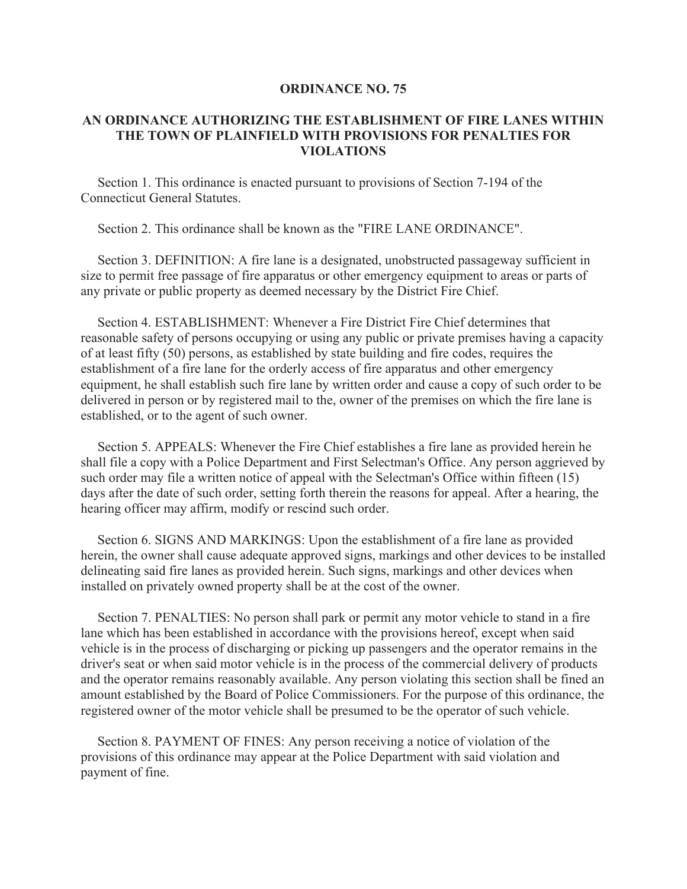## **ORDINANCE NO. 75**

## **AN ORDINANCE AUTHORIZING THE ESTABLISHMENT OF FIRE LANES WITHIN THE TOWN OF PLAINFIELD WITH PROVISIONS FOR PENALTIES FOR VIOLATIONS**

 Section 1. This ordinance is enacted pursuant to provisions of Section 7-194 of the Connecticut General Statutes.

Section 2. This ordinance shall be known as the "FIRE LANE ORDINANCE".

 Section 3. DEFINITION: A fire lane is a designated, unobstructed passageway sufficient in size to permit free passage of fire apparatus or other emergency equipment to areas or parts of any private or public property as deemed necessary by the District Fire Chief.

 Section 4. ESTABLISHMENT: Whenever a Fire District Fire Chief determines that reasonable safety of persons occupying or using any public or private premises having a capacity of at least fifty (50) persons, as established by state building and fire codes, requires the establishment of a fire lane for the orderly access of fire apparatus and other emergency equipment, he shall establish such fire lane by written order and cause a copy of such order to be delivered in person or by registered mail to the, owner of the premises on which the fire lane is established, or to the agent of such owner.

 Section 5. APPEALS: Whenever the Fire Chief establishes a fire lane as provided herein he shall file a copy with a Police Department and First Selectman's Office. Any person aggrieved by such order may file a written notice of appeal with the Selectman's Office within fifteen (15) days after the date of such order, setting forth therein the reasons for appeal. After a hearing, the hearing officer may affirm, modify or rescind such order.

 Section 6. SIGNS AND MARKINGS: Upon the establishment of a fire lane as provided herein, the owner shall cause adequate approved signs, markings and other devices to be installed delineating said fire lanes as provided herein. Such signs, markings and other devices when installed on privately owned property shall be at the cost of the owner.

 Section 7. PENALTIES: No person shall park or permit any motor vehicle to stand in a fire lane which has been established in accordance with the provisions hereof, except when said vehicle is in the process of discharging or picking up passengers and the operator remains in the driver's seat or when said motor vehicle is in the process of the commercial delivery of products and the operator remains reasonably available. Any person violating this section shall be fined an amount established by the Board of Police Commissioners. For the purpose of this ordinance, the registered owner of the motor vehicle shall be presumed to be the operator of such vehicle.

 Section 8. PAYMENT OF FINES: Any person receiving a notice of violation of the provisions of this ordinance may appear at the Police Department with said violation and payment of fine.